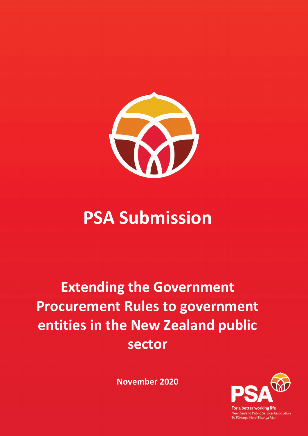

# **PSA Submission**

## **Extending the Government Procurement Rules to government entities in the New Zealand public sector**

**November 2020**



For a better working life New Zealand Public Service Association<br>Te Pūkenga Here Tikanga Mahi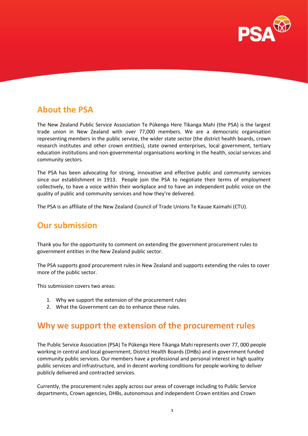

## **About the PSA**

The New Zealand Public Service Association Te Pūkenga Here Tikanga Mahi (the PSA) is the largest trade union in New Zealand with over 77,000 members. We are a democratic organisation representing members in the public service, the wider state sector (the district health boards, crown research institutes and other crown entities), state owned enterprises, local government, tertiary education institutions and non-governmental organisations working in the health, social services and community sectors.

The PSA has been advocating for strong, innovative and effective public and community services since our establishment in 1913. People join the PSA to negotiate their terms of employment collectively, to have a voice within their workplace and to have an independent public voice on the quality of public and community services and how they're delivered.

The PSA is an affiliate of the New Zealand Council of Trade Unions Te Kauae Kaimahi (CTU).

## **Our submission**

Thank you for the opportunity to comment on extending the government procurement rules to government entities in the New Zealand public sector.

The PSA supports good procurement rules in New Zealand and supports extending the rules to cover more of the public sector.

This submission covers two areas:

- 1. Why we support the extension of the procurement rules
- 2. What the Government can do to enhance these rules.

### **Why we support the extension of the procurement rules**

The Public Service Association (PSA) Te Pūkenga Here Tikanga Mahi represents over 77, 000 people working in central and local government, District Health Boards (DHBs) and in government funded community public services. Our members have a professional and personal interest in high quality public services and infrastructure, and in decent working conditions for people working to deliver publicly delivered and contracted services.

Currently, the procurement rules apply across our areas of coverage including to Public Service departments, Crown agencies, DHBs, autonomous and independent Crown entities and Crown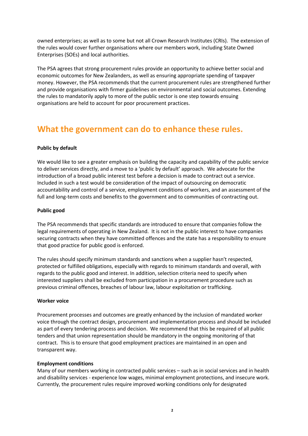owned enterprises; as well as to some but not all Crown Research Institutes (CRIs). The extension of the rules would cover further organisations where our members work, including State Owned Enterprises (SOEs) and local authorities.

The PSA agrees that strong procurement rules provide an opportunity to achieve better social and economic outcomes for New Zealanders, as well as ensuring appropriate spending of taxpayer money. However, the PSA recommends that the current procurement rules are strengthened further and provide organisations with firmer guidelines on environmental and social outcomes. Extending the rules to mandatorily apply to more of the public sector is one step towards ensuing organisations are held to account for poor procurement practices.

## **What the government can do to enhance these rules.**

#### **Public by default**

We would like to see a greater emphasis on building the capacity and capability of the public service to deliver services directly, and a move to a 'public by default' approach. We advocate for the introduction of a broad public interest test before a decision is made to contract out a service. Included in such a test would be consideration of the impact of outsourcing on democratic accountability and control of a service, employment conditions of workers, and an assessment of the full and long-term costs and benefits to the government and to communities of contracting out.

#### **Public good**

The PSA recommends that specific standards are introduced to ensure that companies follow the legal requirements of operating in New Zealand. It is not in the public interest to have companies securing contracts when they have committed offences and the state has a responsibility to ensure that good practice for public good is enforced.

The rules should specify minimum standards and sanctions when a supplier hasn't respected, protected or fulfilled obligations, especially with regards to minimum standards and overall, with regards to the public good and interest. In addition, selection criteria need to specify when interested suppliers shall be excluded from participation in a procurement procedure such as previous criminal offences, breaches of labour law, labour exploitation or trafficking.

#### **Worker voice**

Procurement processes and outcomes are greatly enhanced by the inclusion of mandated worker voice through the contract design, procurement and implementation process and should be included as part of every tendering process and decision. We recommend that this be required of all public tenders and that union representation should be mandatory in the ongoing monitoring of that contract. This is to ensure that good employment practices are maintained in an open and transparent way.

#### **Employment conditions**

Many of our members working in contracted public services – such as in social services and in health and disability services - experience low wages, minimal employment protections, and insecure work. Currently, the procurement rules require improved working conditions only for designated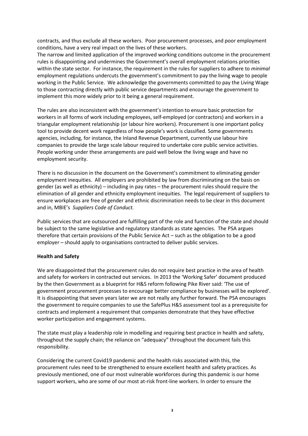contracts, and thus exclude all these workers. Poor procurement processes, and poor employment conditions, have a very real impact on the lives of these workers.

The narrow and limited application of the improved working conditions outcome in the procurement rules is disappointing and undermines the Government's overall employment relations priorities within the state sector. For instance, the requirement in the rules for suppliers to adhere to *minimal* employment regulations undercuts the government's commitment to pay the living wage to people working in the Public Service. We acknowledge the governments committed to pay the Living Wage to those contracting directly with public service departments and encourage the government to implement this more widely prior to it being a general requirement.

The rules are also inconsistent with the government's intention to ensure basic protection for workers in all forms of work including employees, self-employed (or contractors) and workers in a triangular employment relationship (or labour hire workers). Procurement is one important policy tool to provide decent work regardless of how people's work is classified. Some governments agencies, including, for instance, the Inland Revenue Department, currently use labour hire companies to provide the large scale labour required to undertake core public service activities. People working under these arrangements are paid well below the living wage and have no employment security.

There is no discussion in the document on the Government's commitment to eliminating gender employment inequities. All employers are prohibited by law from discriminating on the basis on gender (as well as ethnicity) – including in pay rates – the procurement rules should require the elimination of all gender and ethnicity employment inequities. The legal requirement of suppliers to ensure workplaces are free of gender and ethnic discrimination needs to be clear in this document and in, MBIE's *Suppliers Code of Conduct.* 

Public services that are outsourced are fulfilling part of the role and function of the state and should be subject to the same legislative and regulatory standards as state agencies. The PSA argues therefore that certain provisions of the Public Service Act – such as the obligation to be a good employer – should apply to organisations contracted to deliver public services.

#### **Health and Safety**

We are disappointed that the procurement rules do not require best practice in the area of health and safety for workers in contracted out services. In 2013 the 'Working Safer' document produced by the then Government as a blueprint for H&S reform following Pike River said: 'The use of government procurement processes to encourage better compliance by businesses will be explored'. It is disappointing that seven years later we are not really any further forward. The PSA encourages the government to require companies to use the SafePlus H&S assessment tool as a prerequisite for contracts and implement a requirement that companies demonstrate that they have effective worker participation and engagement systems.

The state must play a leadership role in modelling and requiring best practice in health and safety, throughout the supply chain; the reliance on "adequacy" throughout the document fails this responsibility.

Considering the current Covid19 pandemic and the health risks associated with this, the procurement rules need to be strengthened to ensure excellent health and safety practices. As previously mentioned, one of our most vulnerable workforces during this pandemic is our home support workers, who are some of our most at-risk front-line workers. In order to ensure the